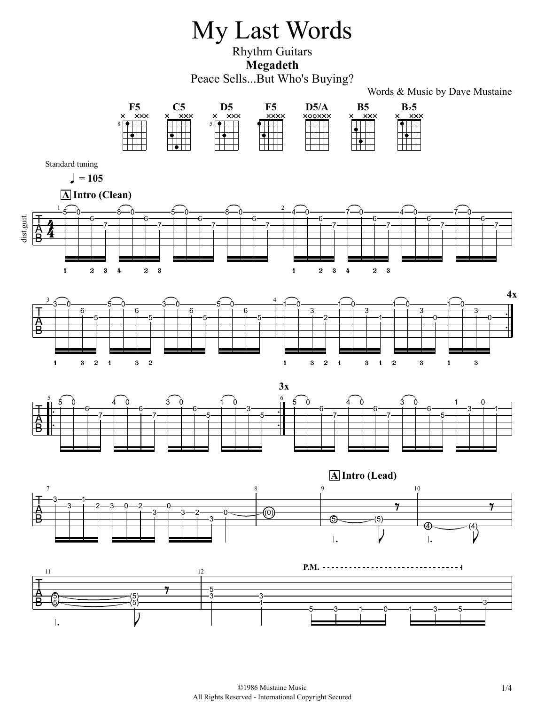## My Last Words

Rhythm Guitars **Megadeth** Peace Sells...But Who's Buying?

Words & Music by Dave Mustaine

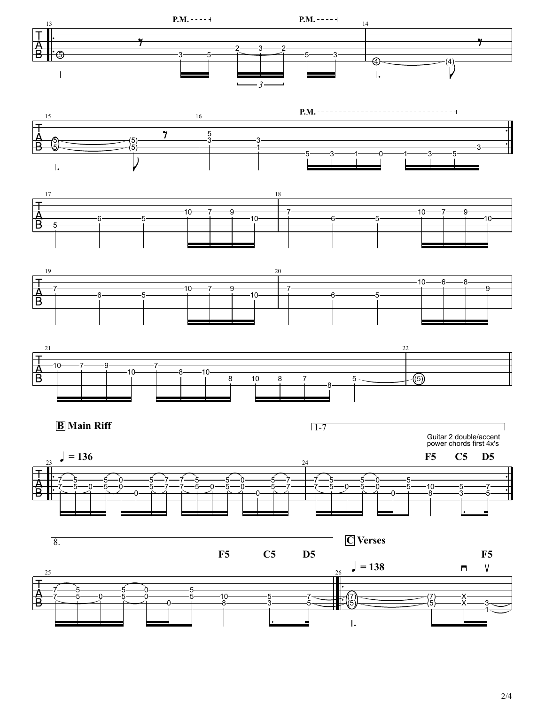

2/4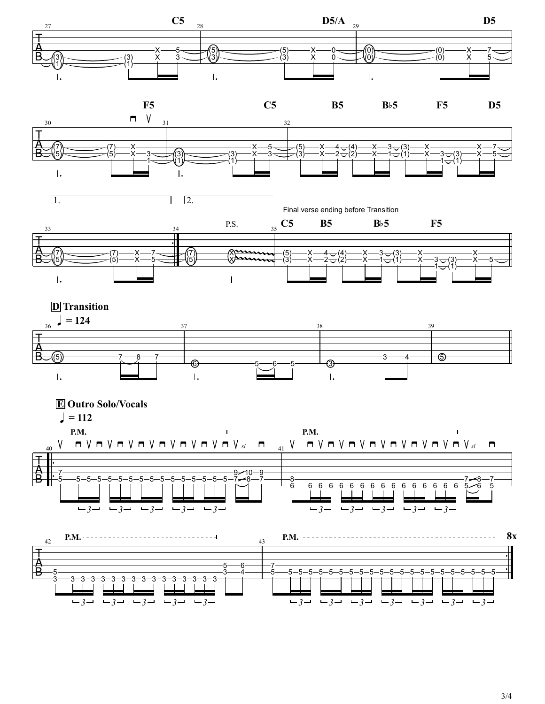